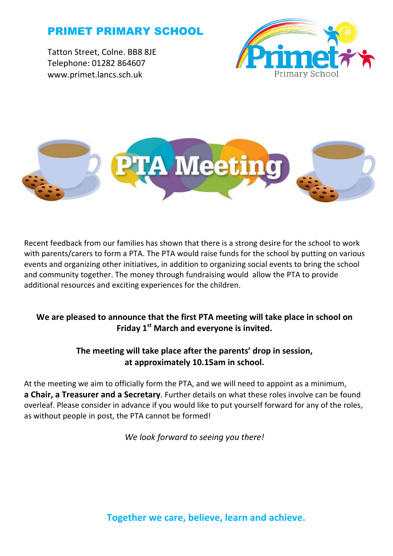# PRIMET PRIMARY SCHOOL

Tatton Street, Colne. BB8 8JE Telephone: 01282 864607 www.primet.lancs.sch.uk





Recent feedback from our families has shown that there is a strong desire for the school to work with parents/carers to form a PTA. The PTA would raise funds for the school by putting on various events and organizing other initiatives, in addition to organizing social events to bring the school and community together. The money through fundraising would allow the PTA to provide additional resources and exciting experiences for the children.

## **We are pleased to announce that the first PTA meeting will take place in school on Friday 1st March and everyone is invited.**

# **The meeting will take place after the parents' drop in session, at approximately 10.15am in school.**

At the meeting we aim to officially form the PTA, and we will need to appoint as a minimum, **a Chair, a Treasurer and a Secretary**. Further details on what these roles involve can be found overleaf. Please consider in advance if you would like to put yourself forward for any of the roles, as without people in post, the PTA cannot be formed!

*We look forward to seeing you there!*

**Together we care, believe, learn and achieve.**